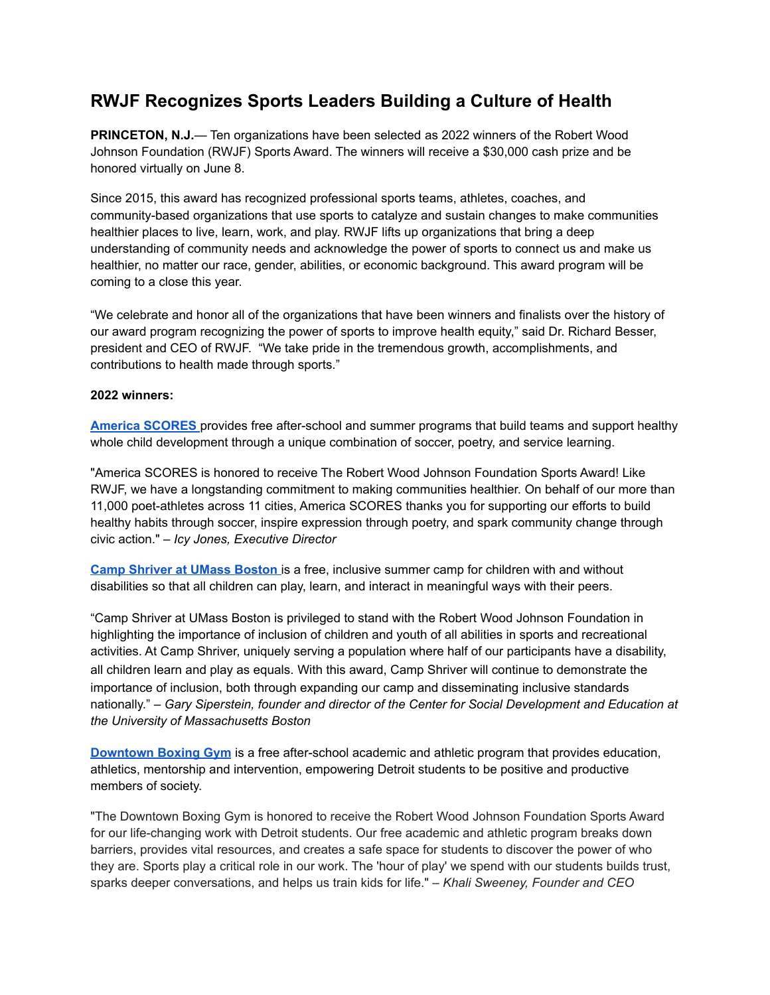## **RWJF Recognizes Sports Leaders Building a Culture of Health**

**PRINCETON, N.J.**— Ten organizations have been selected as 2022 winners of the Robert Wood Johnson Foundation (RWJF) Sports Award. The winners will receive a \$30,000 cash prize and be honored virtually on June 8.

Since 2015, this award has recognized professional sports teams, athletes, coaches, and community-based organizations that use sports to catalyze and sustain changes to make communities healthier places to live, learn, work, and play. RWJF lifts up organizations that bring a deep understanding of community needs and acknowledge the power of sports to connect us and make us healthier, no matter our race, gender, abilities, or economic background. This award program will be coming to a close this year.

"We celebrate and honor all of the organizations that have been winners and finalists over the history of our award program recognizing the power of sports to improve health equity," said Dr. Richard Besser, president and CEO of RWJF. "We take pride in the tremendous growth, accomplishments, and contributions to health made through sports."

## **2022 winners:**

**America [SCORES](https://www.americascores.org/)** provides free after-school and summer programs that build teams and support healthy whole child development through a unique combination of soccer, poetry, and service learning.

"America SCORES is honored to receive The Robert Wood Johnson Foundation Sports Award! Like RWJF, we have a longstanding commitment to making communities healthier. On behalf of our more than 11,000 poet-athletes across 11 cities, America SCORES thanks you for supporting our efforts to build healthy habits through soccer, inspire expression through poetry, and spark community change through civic action." *– Icy Jones, Executive Director*

**Camp [Shriver](https://www.umb.edu/csde/camp_shriver) at UMass Boston** is a free, inclusive summer camp for children with and without disabilities so that all children can play, learn, and interact in meaningful ways with their peers.

"Camp Shriver at UMass Boston is privileged to stand with the Robert Wood Johnson Foundation in highlighting the importance of inclusion of children and youth of all abilities in sports and recreational activities. At Camp Shriver, uniquely serving a population where half of our participants have a disability, all children learn and play as equals. With this award, Camp Shriver will continue to demonstrate the importance of inclusion, both through expanding our camp and disseminating inclusive standards nationally." – *Gary Siperstein, founder and director of the Center for Social Development and Education at the University of Massachusetts Boston*

**[Downtown](https://dbgdetroit.org/) Boxing Gym** is a free after-school academic and athletic program that provides education, athletics, mentorship and intervention, empowering Detroit students to be positive and productive members of society.

"The Downtown Boxing Gym is honored to receive the Robert Wood Johnson Foundation Sports Award for our life-changing work with Detroit students. Our free academic and athletic program breaks down barriers, provides vital resources, and creates a safe space for students to discover the power of who they are. Sports play a critical role in our work. The 'hour of play' we spend with our students builds trust, sparks deeper conversations, and helps us train kids for life." – *Khali Sweeney, Founder and CEO*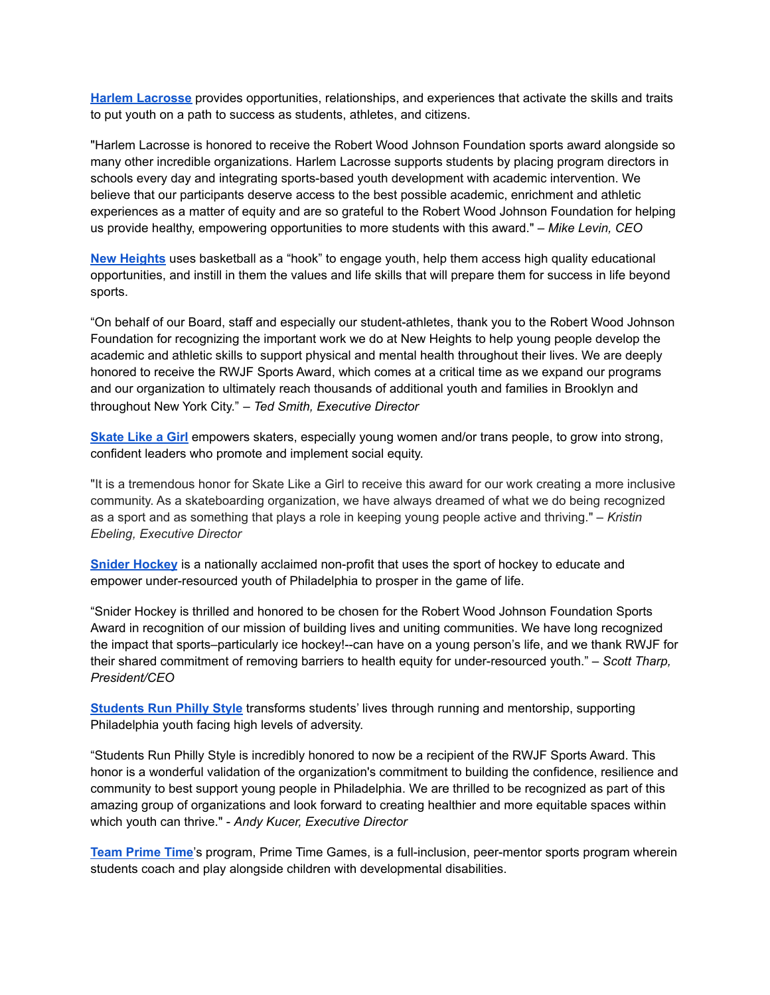**Harlem [Lacrosse](https://www.harlemlacrosse.org/)** provides opportunities, relationships, and experiences that activate the skills and traits to put youth on a path to success as students, athletes, and citizens.

"Harlem Lacrosse is honored to receive the Robert Wood Johnson Foundation sports award alongside so many other incredible organizations. Harlem Lacrosse supports students by placing program directors in schools every day and integrating sports-based youth development with academic intervention. We believe that our participants deserve access to the best possible academic, enrichment and athletic experiences as a matter of equity and are so grateful to the Robert Wood Johnson Foundation for helping us provide healthy, empowering opportunities to more students with this award." *– Mike Levin, CEO*

**New [Heights](https://www.newheightsnyc.org/)** uses basketball as a "hook" to engage youth, help them access high quality educational opportunities, and instill in them the values and life skills that will prepare them for success in life beyond sports.

"On behalf of our Board, staff and especially our student-athletes, thank you to the Robert Wood Johnson Foundation for recognizing the important work we do at New Heights to help young people develop the academic and athletic skills to support physical and mental health throughout their lives. We are deeply honored to receive the RWJF Sports Award, which comes at a critical time as we expand our programs and our organization to ultimately reach thousands of additional youth and families in Brooklyn and throughout New York City." – *Ted Smith, Executive Director*

**[Skate](https://www.skatelikeagirl.com/) Like a Girl** empowers skaters, especially young women and/or trans people, to grow into strong, confident leaders who promote and implement social equity.

"It is a tremendous honor for Skate Like a Girl to receive this award for our work creating a more inclusive community. As a skateboarding organization, we have always dreamed of what we do being recognized as a sport and as something that plays a role in keeping young people active and thriving." – *Kristin Ebeling, Executive Director*

**Snider [Hockey](http://sniderhockey.org/)** is a nationally acclaimed non-profit that uses the sport of hockey to educate and empower under-resourced youth of Philadelphia to prosper in the game of life.

"Snider Hockey is thrilled and honored to be chosen for the Robert Wood Johnson Foundation Sports Award in recognition of our mission of building lives and uniting communities. We have long recognized the impact that sports–particularly ice hockey!--can have on a young person's life, and we thank RWJF for their shared commitment of removing barriers to health equity for under-resourced youth." – *Scott Tharp, President/CEO*

**[Students](https://studentsrunphilly.org/) Run Philly Style** transforms students' lives through running and mentorship, supporting Philadelphia youth facing high levels of adversity.

"Students Run Philly Style is incredibly honored to now be a recipient of the RWJF Sports Award. This honor is a wonderful validation of the organization's commitment to building the confidence, resilience and community to best support young people in Philadelphia. We are thrilled to be recognized as part of this amazing group of organizations and look forward to creating healthier and more equitable spaces within which youth can thrive." - *Andy Kucer, Executive Director*

**Team [Prime](https://teamprimetime.org/) Time**'s program, Prime Time Games, is a full-inclusion, peer-mentor sports program wherein students coach and play alongside children with developmental disabilities.